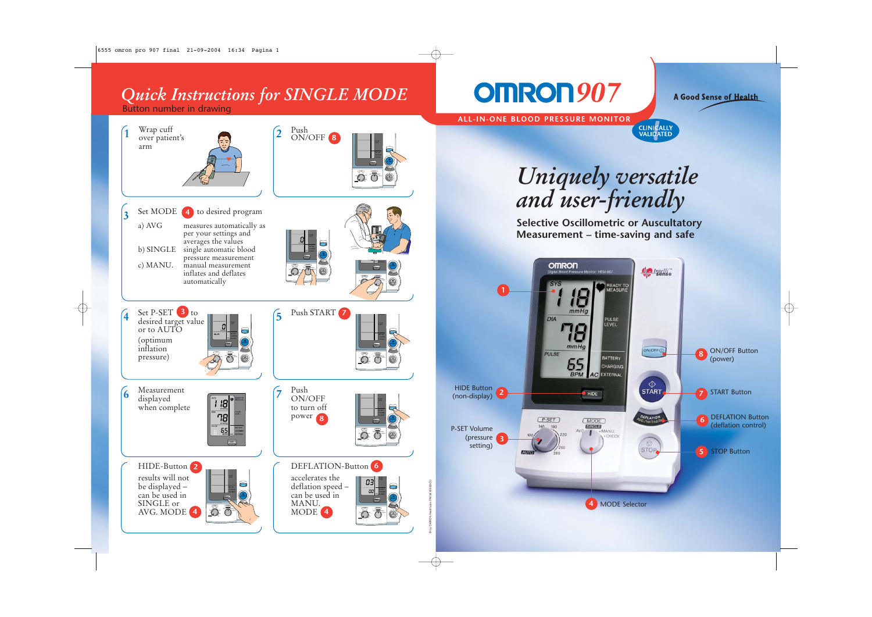## *Quick Instructions for SINGLE MODE* **907**

Button number in drawing



MODE 4 まき

140 180 AVG. MANU.

AVG. MANU. CHECK

AVG. MODE **4**

A Good Sense of Health

**ALL-IN-ONE BLOOD PRESSURE MONITOR**



*Uniquely versatile and user-friendly*

**Selective Oscillometric or Auscultatory Measurement – time-saving and safe**